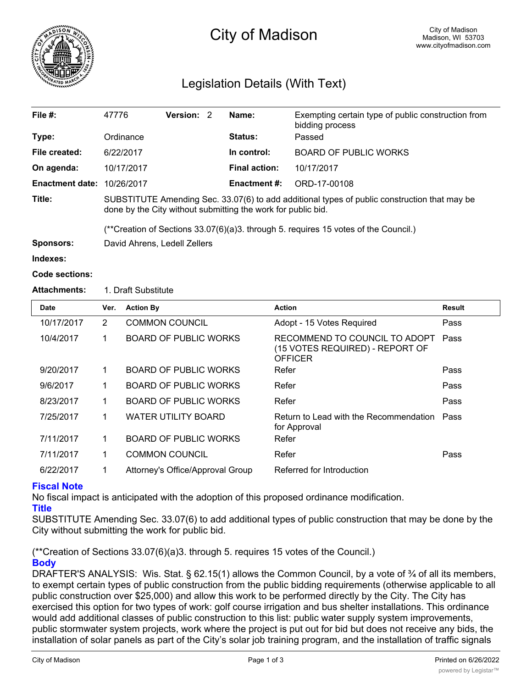

# City of Madison

## Legislation Details (With Text)

| File $#$ :             | 47776                                                                                                                                                        | Version: 2 |  | Name:                | Exempting certain type of public construction from<br>bidding process |  |  |
|------------------------|--------------------------------------------------------------------------------------------------------------------------------------------------------------|------------|--|----------------------|-----------------------------------------------------------------------|--|--|
| Type:                  | Ordinance                                                                                                                                                    |            |  | Status:              | Passed                                                                |  |  |
| File created:          | 6/22/2017                                                                                                                                                    |            |  | In control:          | <b>BOARD OF PUBLIC WORKS</b>                                          |  |  |
| On agenda:             | 10/17/2017                                                                                                                                                   |            |  | <b>Final action:</b> | 10/17/2017                                                            |  |  |
| <b>Enactment date:</b> | 10/26/2017                                                                                                                                                   |            |  | Enactment #:         | ORD-17-00108                                                          |  |  |
| Title:                 | SUBSTITUTE Amending Sec. 33.07(6) to add additional types of public construction that may be<br>done by the City without submitting the work for public bid. |            |  |                      |                                                                       |  |  |
|                        | $(*c$ Creation of Sections 33.07(6)(a)3. through 5. requires 15 votes of the Council.)                                                                       |            |  |                      |                                                                       |  |  |
| Sponsors:              | David Ahrens, Ledell Zellers                                                                                                                                 |            |  |                      |                                                                       |  |  |
| Indexes:               |                                                                                                                                                              |            |  |                      |                                                                       |  |  |
| <b>Code sections:</b>  |                                                                                                                                                              |            |  |                      |                                                                       |  |  |

### **Attachments:** 1. Draft Substitute

| <b>Date</b> | Ver.           | <b>Action By</b>                 | <b>Action</b>                                                                      | <b>Result</b> |
|-------------|----------------|----------------------------------|------------------------------------------------------------------------------------|---------------|
| 10/17/2017  | $\overline{2}$ | <b>COMMON COUNCIL</b>            | Adopt - 15 Votes Required                                                          | Pass          |
| 10/4/2017   | 1              | <b>BOARD OF PUBLIC WORKS</b>     | RECOMMEND TO COUNCIL TO ADOPT<br>(15 VOTES REQUIRED) - REPORT OF<br><b>OFFICER</b> | Pass          |
| 9/20/2017   | 1              | BOARD OF PUBLIC WORKS            | Refer                                                                              | Pass          |
| 9/6/2017    | 1              | <b>BOARD OF PUBLIC WORKS</b>     | Refer                                                                              | Pass          |
| 8/23/2017   | 1              | <b>BOARD OF PUBLIC WORKS</b>     | Refer                                                                              | Pass          |
| 7/25/2017   | 1              | WATER UTILITY BOARD              | Return to Lead with the Recommendation<br>for Approval                             | Pass          |
| 7/11/2017   | 1              | <b>BOARD OF PUBLIC WORKS</b>     | Refer                                                                              |               |
| 7/11/2017   | 1              | <b>COMMON COUNCIL</b>            | Refer                                                                              | Pass          |
| 6/22/2017   | 1              | Attorney's Office/Approval Group | Referred for Introduction                                                          |               |

### **Fiscal Note**

No fiscal impact is anticipated with the adoption of this proposed ordinance modification.

**Title**

SUBSTITUTE Amending Sec. 33.07(6) to add additional types of public construction that may be done by the City without submitting the work for public bid.

(\*\*Creation of Sections 33.07(6)(a)3. through 5. requires 15 votes of the Council.) **Body**

DRAFTER'S ANALYSIS: Wis. Stat. § 62.15(1) allows the Common Council, by a vote of <sup>3</sup>/4 of all its members, to exempt certain types of public construction from the public bidding requirements (otherwise applicable to all public construction over \$25,000) and allow this work to be performed directly by the City. The City has exercised this option for two types of work: golf course irrigation and bus shelter installations. This ordinance would add additional classes of public construction to this list: public water supply system improvements, public stormwater system projects, work where the project is put out for bid but does not receive any bids, the installation of solar panels as part of the City's solar job training program, and the installation of traffic signals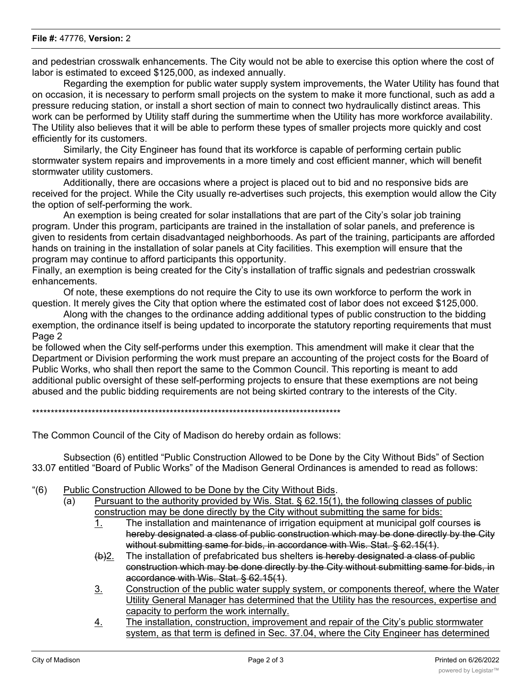#### **File #:** 47776, **Version:** 2

and pedestrian crosswalk enhancements. The City would not be able to exercise this option where the cost of labor is estimated to exceed \$125,000, as indexed annually.

Regarding the exemption for public water supply system improvements, the Water Utility has found that on occasion, it is necessary to perform small projects on the system to make it more functional, such as add a pressure reducing station, or install a short section of main to connect two hydraulically distinct areas. This work can be performed by Utility staff during the summertime when the Utility has more workforce availability. The Utility also believes that it will be able to perform these types of smaller projects more quickly and cost efficiently for its customers.

Similarly, the City Engineer has found that its workforce is capable of performing certain public stormwater system repairs and improvements in a more timely and cost efficient manner, which will benefit stormwater utility customers.

Additionally, there are occasions where a project is placed out to bid and no responsive bids are received for the project. While the City usually re-advertises such projects, this exemption would allow the City the option of self-performing the work.

An exemption is being created for solar installations that are part of the City's solar job training program. Under this program, participants are trained in the installation of solar panels, and preference is given to residents from certain disadvantaged neighborhoods. As part of the training, participants are afforded hands on training in the installation of solar panels at City facilities. This exemption will ensure that the program may continue to afford participants this opportunity.

Finally, an exemption is being created for the City's installation of traffic signals and pedestrian crosswalk enhancements.

Of note, these exemptions do not require the City to use its own workforce to perform the work in question. It merely gives the City that option where the estimated cost of labor does not exceed \$125,000.

Along with the changes to the ordinance adding additional types of public construction to the bidding exemption, the ordinance itself is being updated to incorporate the statutory reporting requirements that must Page 2

be followed when the City self-performs under this exemption. This amendment will make it clear that the Department or Division performing the work must prepare an accounting of the project costs for the Board of Public Works, who shall then report the same to the Common Council. This reporting is meant to add additional public oversight of these self-performing projects to ensure that these exemptions are not being abused and the public bidding requirements are not being skirted contrary to the interests of the City.

\*\*\*\*\*\*\*\*\*\*\*\*\*\*\*\*\*\*\*\*\*\*\*\*\*\*\*\*\*\*\*\*\*\*\*\*\*\*\*\*\*\*\*\*\*\*\*\*\*\*\*\*\*\*\*\*\*\*\*\*\*\*\*\*\*\*\*\*\*\*\*\*\*\*\*\*\*\*\*\*\*\*\*

The Common Council of the City of Madison do hereby ordain as follows:

Subsection (6) entitled "Public Construction Allowed to be Done by the City Without Bids" of Section 33.07 entitled "Board of Public Works" of the Madison General Ordinances is amended to read as follows:

- "(6) Public Construction Allowed to be Done by the City Without Bids.
	- (a) Pursuant to the authority provided by Wis. Stat.  $\S$  62.15(1), the following classes of public construction may be done directly by the City without submitting the same for bids:
		- 1. The installation and maintenance of irrigation equipment at municipal golf courses is hereby designated a class of public construction which may be done directly by the City without submitting same for bids, in accordance with Wis. Stat. § 62.15(1).
		- $(b)$ 2. The installation of prefabricated bus shelters is hereby designated a class of public construction which may be done directly by the City without submitting same for bids, in accordance with Wis. Stat. § 62.15(1).
		- 3. Construction of the public water supply system, or components thereof, where the Water Utility General Manager has determined that the Utility has the resources, expertise and capacity to perform the work internally.
		- 4. The installation, construction, improvement and repair of the City's public stormwater system, as that term is defined in Sec. 37.04, where the City Engineer has determined